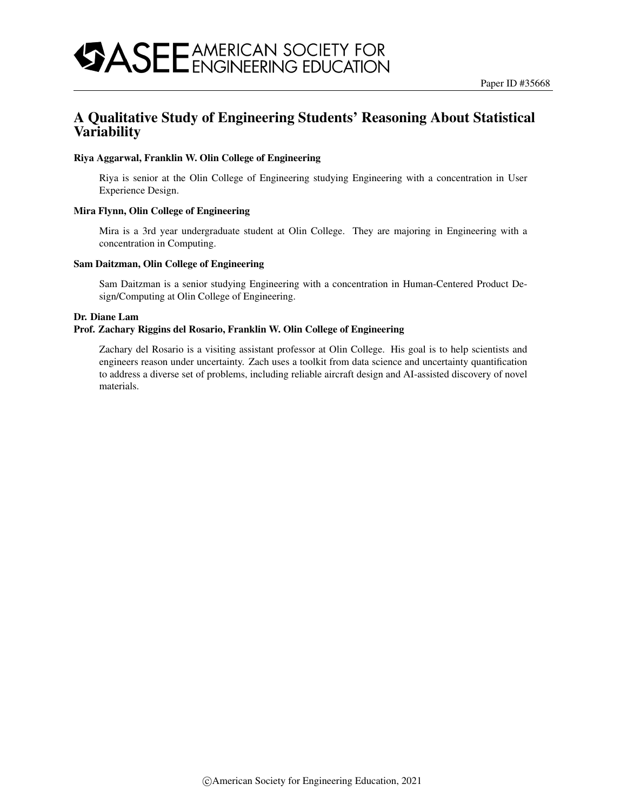## A Qualitative Study of Engineering Students' Reasoning About Statistical **Variability**

#### Riya Aggarwal, Franklin W. Olin College of Engineering

Riya is senior at the Olin College of Engineering studying Engineering with a concentration in User Experience Design.

#### Mira Flynn, Olin College of Engineering

Mira is a 3rd year undergraduate student at Olin College. They are majoring in Engineering with a concentration in Computing.

#### Sam Daitzman, Olin College of Engineering

Sam Daitzman is a senior studying Engineering with a concentration in Human-Centered Product Design/Computing at Olin College of Engineering.

#### Dr. Diane Lam

#### Prof. Zachary Riggins del Rosario, Franklin W. Olin College of Engineering

Zachary del Rosario is a visiting assistant professor at Olin College. His goal is to help scientists and engineers reason under uncertainty. Zach uses a toolkit from data science and uncertainty quantification to address a diverse set of problems, including reliable aircraft design and AI-assisted discovery of novel materials.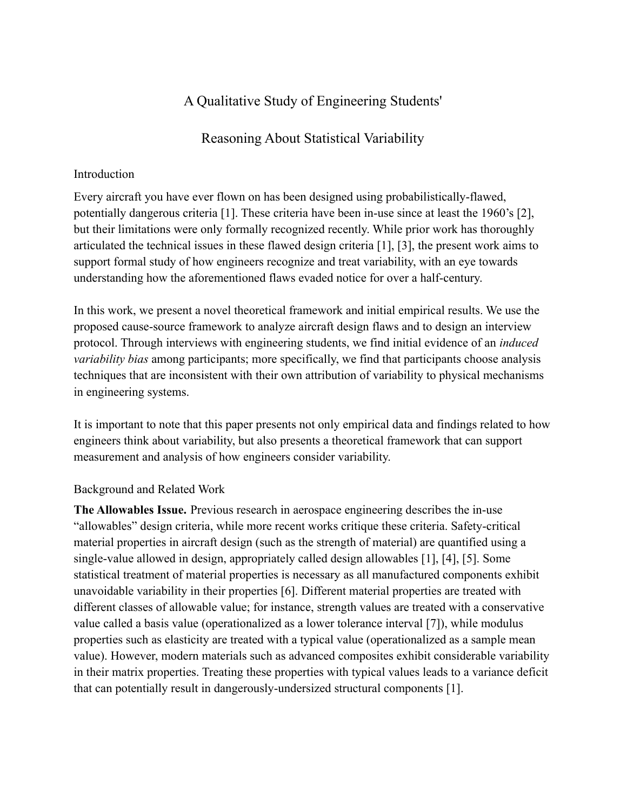# A Qualitative Study of Engineering Students'

## Reasoning About Statistical Variability

### Introduction

Every aircraft you have ever flown on has been designed using probabilistically-flawed, potentially dangerous criteria [\[1\].](https://www.zotero.org/google-docs/?PAv12k) These criteria have been in-use since at least the 1960's [\[2\],](https://www.zotero.org/google-docs/?g1HNqJ) but their limitations were only formally recognized recently. While prior work has thoroughly articulated the technical issues in these flawed design criteria [\[1\], \[3\]](https://www.zotero.org/google-docs/?uocC1l), the present work aims to support formal study of how engineers recognize and treat variability, with an eye towards understanding how the aforementioned flaws evaded notice for over a half-century.

In this work, we present a novel theoretical framework and initial empirical results. We use the proposed cause-source framework to analyze aircraft design flaws and to design an interview protocol. Through interviews with engineering students, we find initial evidence of an *induced variability bias* among participants; more specifically, we find that participants choose analysis techniques that are inconsistent with their own attribution of variability to physical mechanisms in engineering systems.

It is important to note that this paper presents not only empirical data and findings related to how engineers think about variability, but also presents a theoretical framework that can support measurement and analysis of how engineers consider variability.

### Background and Related Work

**The Allowables Issue.** Previous research in aerospace engineering describes the in-use "allowables" design criteria, while more recent works critique these criteria. Safety-critical material properties in aircraft design (such as the strength of material) are quantified using a single-value allowed in design, appropriately called design allowables [\[1\], \[4\], \[5\].](https://www.zotero.org/google-docs/?zg0UH2) Some statistical treatment of material properties is necessary as all manufactured components exhibit unavoidable variability in their properties [\[6\]](https://www.zotero.org/google-docs/?1F4xbk). Different material properties are treated with different classes of allowable value; for instance, strength values are treated with a conservative value called a basis value (operationalized as a lower tolerance interval [\[7\]](https://www.zotero.org/google-docs/?gUVs9v)), while modulus properties such as elasticity are treated with a typical value (operationalized as a sample mean value). However, modern materials such as advanced composites exhibit considerable variability in their matrix properties. Treating these properties with typical values leads to a variance deficit that can potentially result in dangerously-undersized structural components [\[1\].](https://www.zotero.org/google-docs/?iNLilR)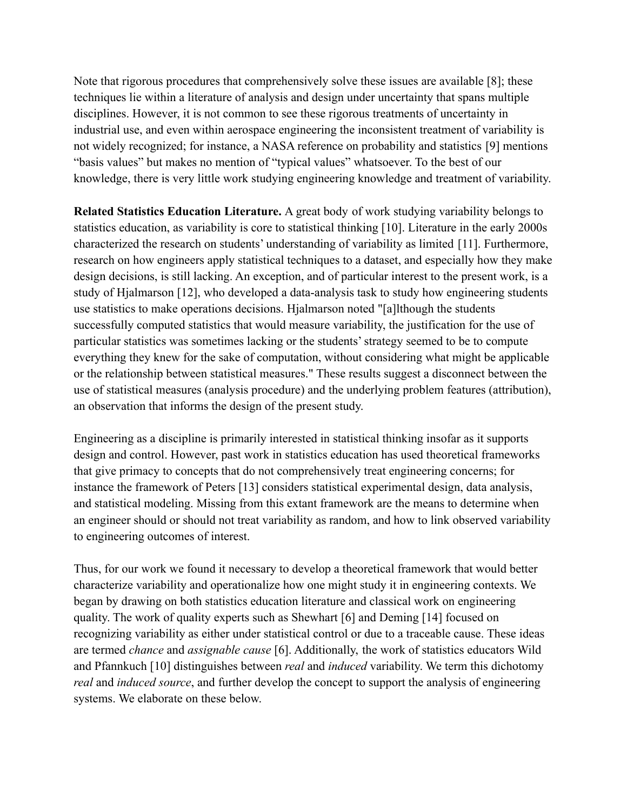Note that rigorous procedures that comprehensively solve these issues are available [\[8\];](https://www.zotero.org/google-docs/?bhMYOR) these techniques lie within a literature of analysis and design under uncertainty that spans multiple disciplines. However, it is not common to see these rigorous treatments of uncertainty in industrial use, and even within aerospace engineering the inconsistent treatment of variability is not widely recognized; for instance, a NASA reference on probability and statistics [\[9\]](https://www.zotero.org/google-docs/?RH1K76) mentions "basis values" but makes no mention of "typical values" whatsoever. To the best of our knowledge, there is very little work studying engineering knowledge and treatment of variability.

**Related Statistics Education Literature.** A great body of work studying variability belongs to statistics education, as variability is core to statistical thinking [\[10\].](https://www.zotero.org/google-docs/?VTTLsU) Literature in the early 2000s characterized the research on students' understanding of variability as limited [\[11\].](https://www.zotero.org/google-docs/?lU4cpD) Furthermore, research on how engineers apply statistical techniques to a dataset, and especially how they make design decisions, is still lacking. An exception, and of particular interest to the present work, is a study of Hjalmarson [\[12\],](https://www.zotero.org/google-docs/?ZxO8iY) who developed a data-analysis task to study how engineering students use statistics to make operations decisions. Hjalmarson noted "[a]lthough the students successfully computed statistics that would measure variability, the justification for the use of particular statistics was sometimes lacking or the students' strategy seemed to be to compute everything they knew for the sake of computation, without considering what might be applicable or the relationship between statistical measures." These results suggest a disconnect between the use of statistical measures (analysis procedure) and the underlying problem features (attribution), an observation that informs the design of the present study.

Engineering as a discipline is primarily interested in statistical thinking insofar as it supports design and control. However, past work in statistics education has used theoretical frameworks that give primacy to concepts that do not comprehensively treat engineering concerns; for instance the framework of Peters [\[13\]](https://www.zotero.org/google-docs/?q7wK9d) considers statistical experimental design, data analysis, and statistical modeling. Missing from this extant framework are the means to determine when an engineer should or should not treat variability as random, and how to link observed variability to engineering outcomes of interest.

Thus, for our work we found it necessary to develop a theoretical framework that would better characterize variability and operationalize how one might study it in engineering contexts. We began by drawing on both statistics education literature and classical work on engineering quality. The work of quality experts such as Shewhart [\[6\]](https://www.zotero.org/google-docs/?Sw9Slv) and Deming [\[14\]](https://www.zotero.org/google-docs/?K23K1e) focused on recognizing variability as either under statistical control or due to a traceable cause. These ideas are termed *chance* and *assignable cause* [\[6\].](https://www.zotero.org/google-docs/?4jHUkY) Additionally, the work of statistics educators Wild and Pfannkuch [\[10\]](https://www.zotero.org/google-docs/?ycYbvS) distinguishes between *real* and *induced* variability. We term this dichotomy *real* and *induced source*, and further develop the concept to support the analysis of engineering systems. We elaborate on these below.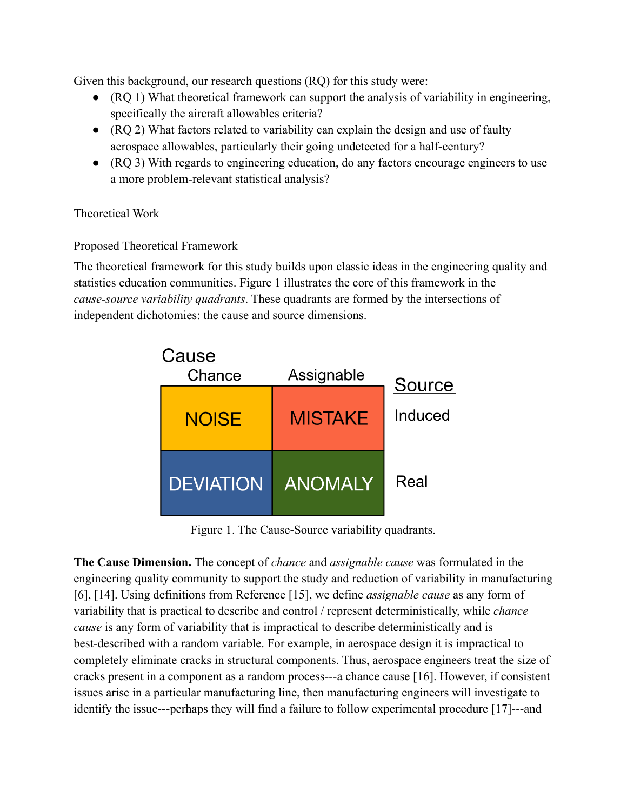Given this background, our research questions (RQ) for this study were:

- (RQ 1) What theoretical framework can support the analysis of variability in engineering, specifically the aircraft allowables criteria?
- (RQ 2) What factors related to variability can explain the design and use of faulty aerospace allowables, particularly their going undetected for a half-century?
- (RQ 3) With regards to engineering education, do any factors encourage engineers to use a more problem-relevant statistical analysis?

## Theoretical Work

## Proposed Theoretical Framework

The theoretical framework for this study builds upon classic ideas in the engineering quality and statistics education communities. Figure 1 illustrates the core of this framework in the *cause-source variability quadrants*. These quadrants are formed by the intersections of independent dichotomies: the cause and source dimensions.



Figure 1. The Cause-Source variability quadrants.

**The Cause Dimension.** The concept of *chance* and *assignable cause* was formulated in the engineering quality community to support the study and reduction of variability in manufacturing [\[6\], \[14\].](https://www.zotero.org/google-docs/?JY84nJ) Using definitions from Reference [\[15\],](https://www.zotero.org/google-docs/?rTSd33) we define *assignable cause* as any form of variability that is practical to describe and control / represent deterministically, while *chance cause* is any form of variability that is impractical to describe deterministically and is best-described with a random variable. For example, in aerospace design it is impractical to completely eliminate cracks in structural components. Thus, aerospace engineers treat the size of cracks present in a component as a random process---a chance cause [\[16\].](https://www.zotero.org/google-docs/?32G2eG) However, if consistent issues arise in a particular manufacturing line, then manufacturing engineers will investigate to identify the issue---perhaps they will find a failure to follow experimental procedure [\[17\]-](https://www.zotero.org/google-docs/?tSUI9O)--and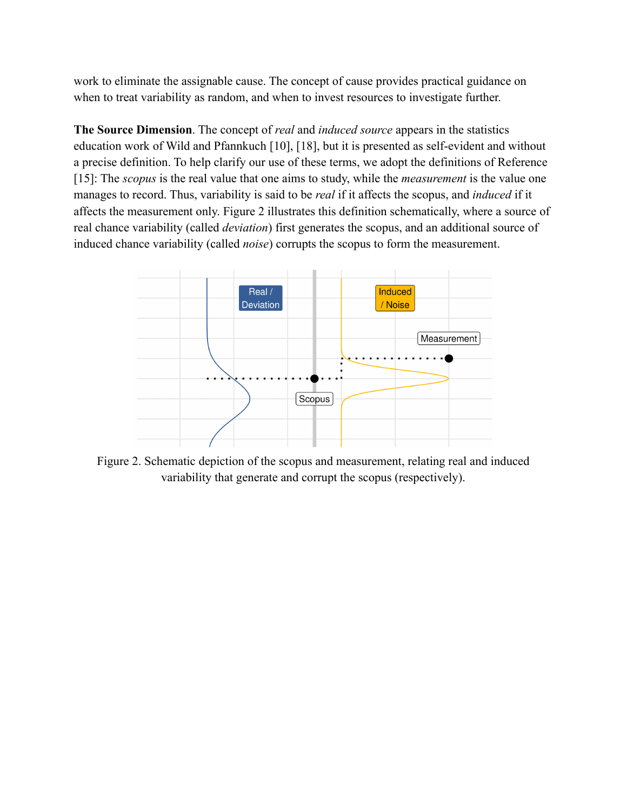work to eliminate the assignable cause. The concept of cause provides practical guidance on when to treat variability as random, and when to invest resources to investigate further.

**The Source Dimension**. The concept of *real* and *induced source* appears in the statistics education work of Wild and Pfannkuch [\[10\], \[18\]](https://www.zotero.org/google-docs/?DV8jyl), but it is presented as self-evident and without a precise definition. To help clarify our use of these terms, we adopt the definitions of Reference [\[15\]:](https://www.zotero.org/google-docs/?5epfHz) The *scopus* is the real value that one aims to study, while the *measurement* is the value one manages to record. Thus, variability is said to be *real* if it affects the scopus, and *induced* if it affects the measurement only. Figure 2 illustrates this definition schematically, where a source of real chance variability (called *deviation*) first generates the scopus, and an additional source of induced chance variability (called *noise*) corrupts the scopus to form the measurement.



Figure 2. Schematic depiction of the scopus and measurement, relating real and induced variability that generate and corrupt the scopus (respectively).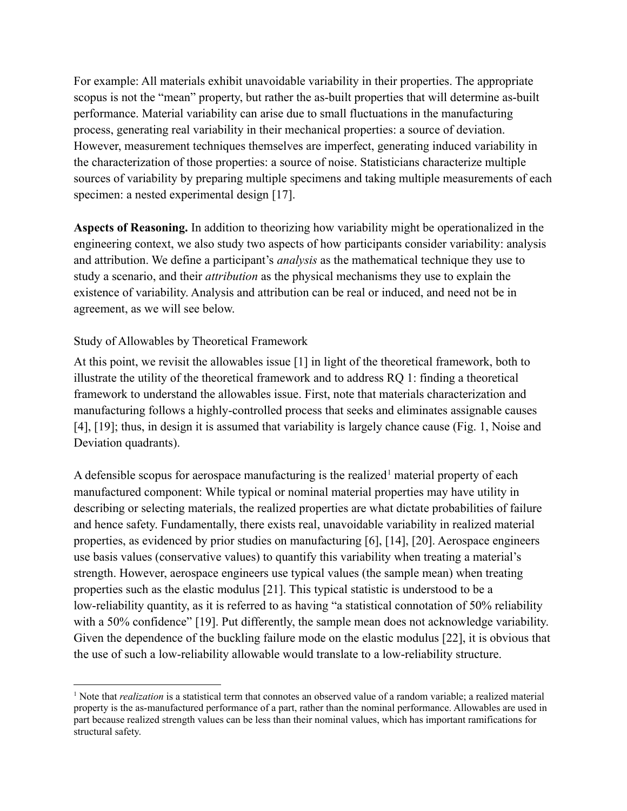For example: All materials exhibit unavoidable variability in their properties. The appropriate scopus is not the "mean" property, but rather the as-built properties that will determine as-built performance. Material variability can arise due to small fluctuations in the manufacturing process, generating real variability in their mechanical properties: a source of deviation. However, measurement techniques themselves are imperfect, generating induced variability in the characterization of those properties: a source of noise. Statisticians characterize multiple sources of variability by preparing multiple specimens and taking multiple measurements of each specimen: a nested experimental design [\[17\].](https://www.zotero.org/google-docs/?5aQ9vh)

**Aspects of Reasoning.** In addition to theorizing how variability might be operationalized in the engineering context, we also study two aspects of how participants consider variability: analysis and attribution. We define a participant's *analysis* as the mathematical technique they use to study a scenario, and their *attribution* as the physical mechanisms they use to explain the existence of variability. Analysis and attribution can be real or induced, and need not be in agreement, as we will see below.

### Study of Allowables by Theoretical Framework

At this point, we revisit the allowables issue [\[1\]](https://www.zotero.org/google-docs/?apgoMb) in light of the theoretical framework, both to illustrate the utility of the theoretical framework and to address RQ 1: finding a theoretical framework to understand the allowables issue. First, note that materials characterization and manufacturing follows a highly-controlled process that seeks and eliminates assignable causes [\[4\], \[19\];](https://www.zotero.org/google-docs/?YLO59t) thus, in design it is assumed that variability is largely chance cause (Fig. 1, Noise and Deviation quadrants).

A defensible scopus for aerospace manufacturing is the realized<sup>1</sup> material property of each manufactured component: While typical or nominal material properties may have utility in describing or selecting materials, the realized properties are what dictate probabilities of failure and hence safety. Fundamentally, there exists real, unavoidable variability in realized material properties, as evidenced by prior studies on manufacturing [\[6\], \[14\], \[20\]](https://www.zotero.org/google-docs/?HwvtRa). Aerospace engineers use basis values (conservative values) to quantify this variability when treating a material's strength. However, aerospace engineers use typical values (the sample mean) when treating properties such as the elastic modulus [\[21\].](https://www.zotero.org/google-docs/?7ge91f) This typical statistic is understood to be a low-reliability quantity, as it is referred to as having "a statistical connotation of 50% reliability with a 50% confidence" [\[19\].](https://www.zotero.org/google-docs/?IoBq2x) Put differently, the sample mean does not acknowledge variability. Given the dependence of the buckling failure mode on the elastic modulus [\[22\],](https://www.zotero.org/google-docs/?BsOsMp) it is obvious that the use of such a low-reliability allowable would translate to a low-reliability structure.

<sup>&</sup>lt;sup>1</sup> Note that *realization* is a statistical term that connotes an observed value of a random variable; a realized material property is the as-manufactured performance of a part, rather than the nominal performance. Allowables are used in part because realized strength values can be less than their nominal values, which has important ramifications for structural safety.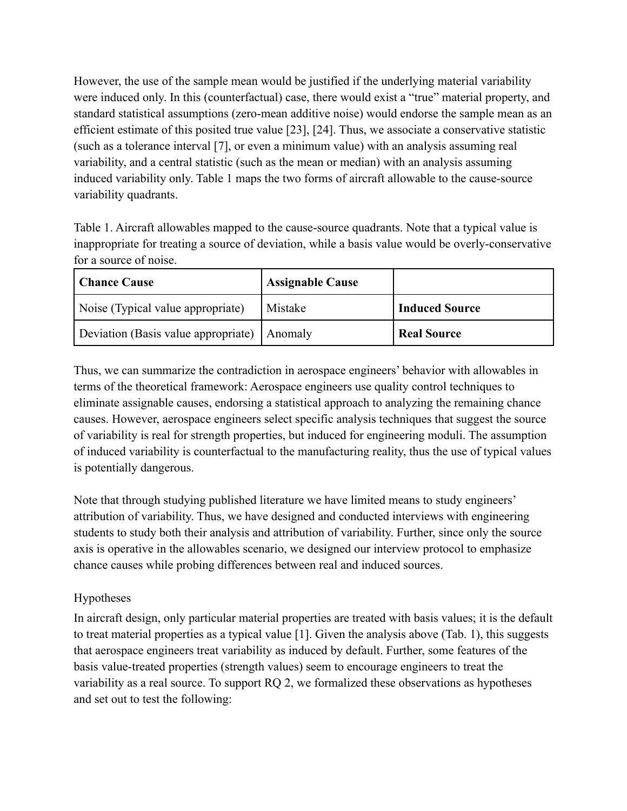However, the use of the sample mean would be justified if the underlying material variability were induced only. In this (counterfactual) case, there would exist a "true" material property, and standard statistical assumptions (zero-mean additive noise) would endorse the sample mean as an efficient estimate of this posited true value [\[23\], \[24\]](https://www.zotero.org/google-docs/?gaOUyB). Thus, we associate a conservative statistic (such as a tolerance interval [\[7\],](https://www.zotero.org/google-docs/?ouszuP) or even a minimum value) with an analysis assuming real variability, and a central statistic (such as the mean or median) with an analysis assuming induced variability only. Table 1 maps the two forms of aircraft allowable to the cause-source variability quadrants.

Table 1. Aircraft allowables mapped to the cause-source quadrants. Note that a typical value is inappropriate for treating a source of deviation, while a basis value would be overly-conservative for a source of noise.

| Chance Cause                                  | <b>Assignable Cause</b> |                       |
|-----------------------------------------------|-------------------------|-----------------------|
| Noise (Typical value appropriate)             | Mistake                 | <b>Induced Source</b> |
| Deviation (Basis value appropriate)   Anomaly |                         | <b>Real Source</b>    |

Thus, we can summarize the contradiction in aerospace engineers' behavior with allowables in terms of the theoretical framework: Aerospace engineers use quality control techniques to eliminate assignable causes, endorsing a statistical approach to analyzing the remaining chance causes. However, aerospace engineers select specific analysis techniques that suggest the source of variability is real for strength properties, but induced for engineering moduli. The assumption of induced variability is counterfactual to the manufacturing reality, thus the use of typical values is potentially dangerous.

Note that through studying published literature we have limited means to study engineers' attribution of variability. Thus, we have designed and conducted interviews with engineering students to study both their analysis and attribution of variability. Further, since only the source axis is operative in the allowables scenario, we designed our interview protocol to emphasize chance causes while probing differences between real and induced sources.

## Hypotheses

In aircraft design, only particular material properties are treated with basis values; it is the default to treat material properties as a typical value [\[1\].](https://www.zotero.org/google-docs/?zZmluk) Given the analysis above (Tab. 1), this suggests that aerospace engineers treat variability as induced by default. Further, some features of the basis value-treated properties (strength values) seem to encourage engineers to treat the variability as a real source. To support RQ 2, we formalized these observations as hypotheses and set out to test the following: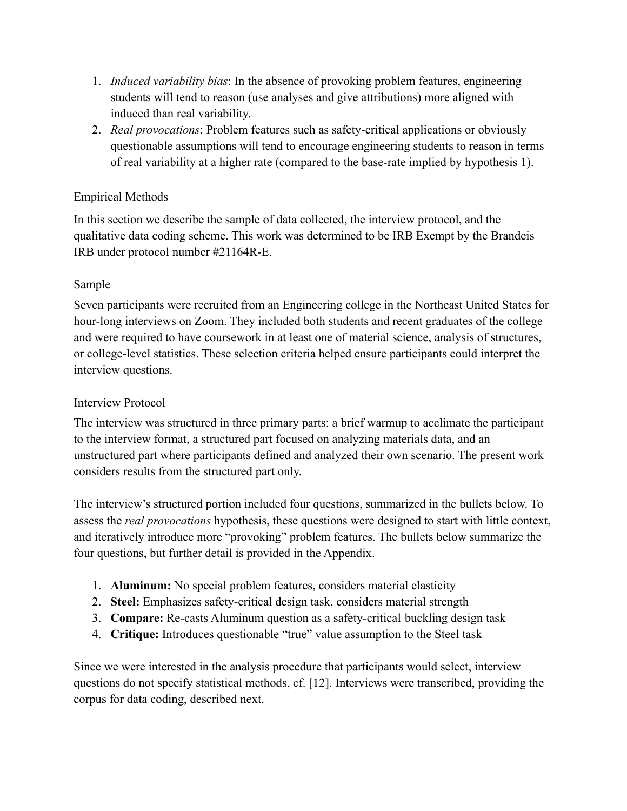- 1. *Induced variability bias*: In the absence of provoking problem features, engineering students will tend to reason (use analyses and give attributions) more aligned with induced than real variability.
- 2. *Real provocations*: Problem features such as safety-critical applications or obviously questionable assumptions will tend to encourage engineering students to reason in terms of real variability at a higher rate (compared to the base-rate implied by hypothesis 1).

## Empirical Methods

In this section we describe the sample of data collected, the interview protocol, and the qualitative data coding scheme. This work was determined to be IRB Exempt by the Brandeis IRB under protocol number #21164R-E.

## Sample

Seven participants were recruited from an Engineering college in the Northeast United States for hour-long interviews on Zoom. They included both students and recent graduates of the college and were required to have coursework in at least one of material science, analysis of structures, or college-level statistics. These selection criteria helped ensure participants could interpret the interview questions.

## Interview Protocol

The interview was structured in three primary parts: a brief warmup to acclimate the participant to the interview format, a structured part focused on analyzing materials data, and an unstructured part where participants defined and analyzed their own scenario. The present work considers results from the structured part only.

The interview's structured portion included four questions, summarized in the bullets below. To assess the *real provocations* hypothesis, these questions were designed to start with little context, and iteratively introduce more "provoking" problem features. The bullets below summarize the four questions, but further detail is provided in the Appendix.

- 1. **Aluminum:** No special problem features, considers material elasticity
- 2. **Steel:** Emphasizes safety-critical design task, considers material strength
- 3. **Compare:** Re-casts Aluminum question as a safety-critical buckling design task
- 4. **Critique:** Introduces questionable "true" value assumption to the Steel task

Since we were interested in the analysis procedure that participants would select, interview questions do not specify statistical methods, cf. [\[12\].](https://www.zotero.org/google-docs/?8rxe31) Interviews were transcribed, providing the corpus for data coding, described next.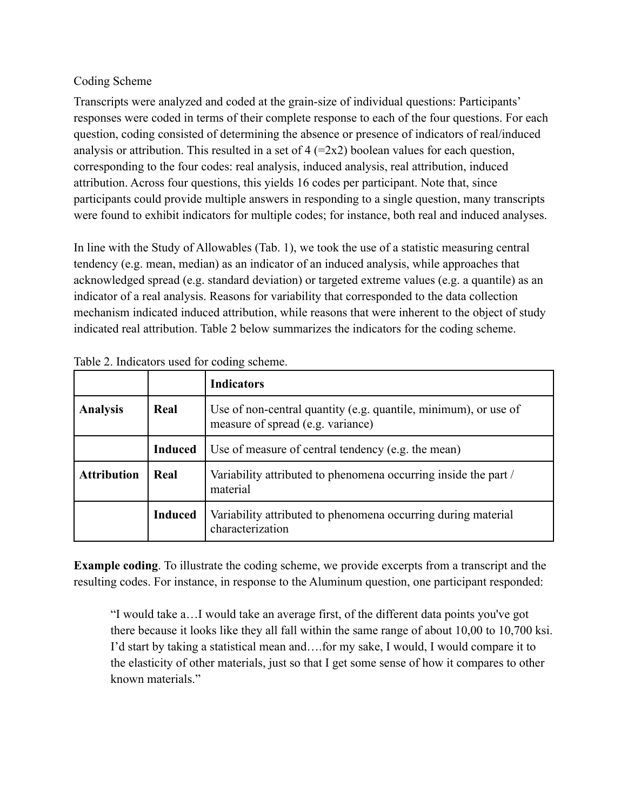## Coding Scheme

Transcripts were analyzed and coded at the grain-size of individual questions: Participants' responses were coded in terms of their complete response to each of the four questions. For each question, coding consisted of determining the absence or presence of indicators of real/induced analysis or attribution. This resulted in a set of  $4 (=2x2)$  boolean values for each question, corresponding to the four codes: real analysis, induced analysis, real attribution, induced attribution. Across four questions, this yields 16 codes per participant. Note that, since participants could provide multiple answers in responding to a single question, many transcripts were found to exhibit indicators for multiple codes; for instance, both real and induced analyses.

In line with the Study of Allowables (Tab. 1), we took the use of a statistic measuring central tendency (e.g. mean, median) as an indicator of an induced analysis, while approaches that acknowledged spread (e.g. standard deviation) or targeted extreme values (e.g. a quantile) as an indicator of a real analysis. Reasons for variability that corresponded to the data collection mechanism indicated induced attribution, while reasons that were inherent to the object of study indicated real attribution. Table 2 below summarizes the indicators for the coding scheme.

|                    |                | <b>Indicators</b>                                                                                    |
|--------------------|----------------|------------------------------------------------------------------------------------------------------|
| <b>Analysis</b>    | Real           | Use of non-central quantity (e.g. quantile, minimum), or use of<br>measure of spread (e.g. variance) |
|                    | <b>Induced</b> | Use of measure of central tendency (e.g. the mean)                                                   |
| <b>Attribution</b> | Real           | Variability attributed to phenomena occurring inside the part /<br>material                          |
|                    | <b>Induced</b> | Variability attributed to phenomena occurring during material<br>characterization                    |

Table 2. Indicators used for coding scheme.

**Example coding**. To illustrate the coding scheme, we provide excerpts from a transcript and the resulting codes. For instance, in response to the Aluminum question, one participant responded:

"I would take a…I would take an average first, of the different data points you've got there because it looks like they all fall within the same range of about 10,00 to 10,700 ksi. I'd start by taking a statistical mean and….for my sake, I would, I would compare it to the elasticity of other materials, just so that I get some sense of how it compares to other known materials."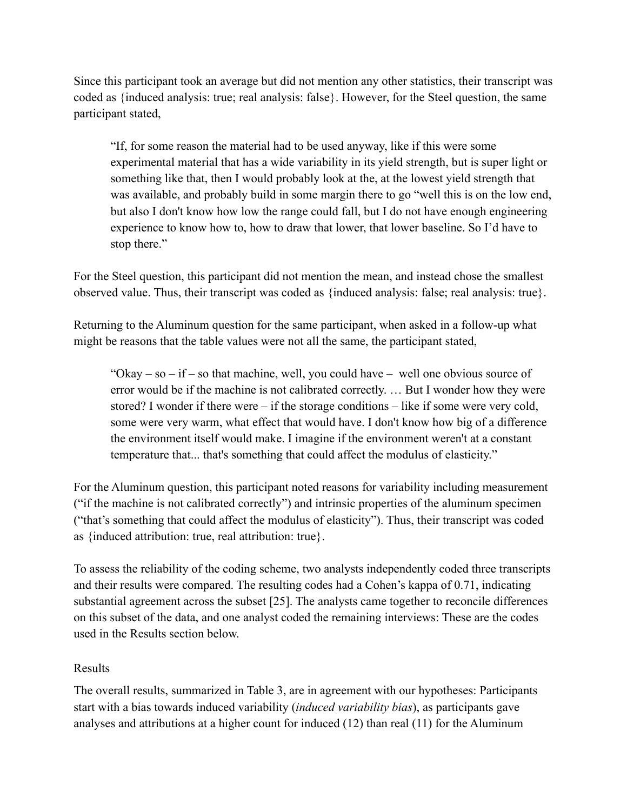Since this participant took an average but did not mention any other statistics, their transcript was coded as {induced analysis: true; real analysis: false}. However, for the Steel question, the same participant stated,

"If, for some reason the material had to be used anyway, like if this were some experimental material that has a wide variability in its yield strength, but is super light or something like that, then I would probably look at the, at the lowest yield strength that was available, and probably build in some margin there to go "well this is on the low end, but also I don't know how low the range could fall, but I do not have enough engineering experience to know how to, how to draw that lower, that lower baseline. So I'd have to stop there."

For the Steel question, this participant did not mention the mean, and instead chose the smallest observed value. Thus, their transcript was coded as {induced analysis: false; real analysis: true}.

Returning to the Aluminum question for the same participant, when asked in a follow-up what might be reasons that the table values were not all the same, the participant stated,

"Okay – so – if – so that machine, well, you could have – well one obvious source of error would be if the machine is not calibrated correctly. … But I wonder how they were stored? I wonder if there were – if the storage conditions – like if some were very cold, some were very warm, what effect that would have. I don't know how big of a difference the environment itself would make. I imagine if the environment weren't at a constant temperature that... that's something that could affect the modulus of elasticity."

For the Aluminum question, this participant noted reasons for variability including measurement ("if the machine is not calibrated correctly") and intrinsic properties of the aluminum specimen ("that's something that could affect the modulus of elasticity"). Thus, their transcript was coded as {induced attribution: true, real attribution: true}.

To assess the reliability of the coding scheme, two analysts independently coded three transcripts and their results were compared. The resulting codes had a Cohen's kappa of 0.71, indicating substantial agreement across the subset [\[25\].](https://www.zotero.org/google-docs/?MDerWn) The analysts came together to reconcile differences on this subset of the data, and one analyst coded the remaining interviews: These are the codes used in the Results section below.

### Results

The overall results, summarized in Table 3, are in agreement with our hypotheses: Participants start with a bias towards induced variability (*induced variability bias*), as participants gave analyses and attributions at a higher count for induced (12) than real (11) for the Aluminum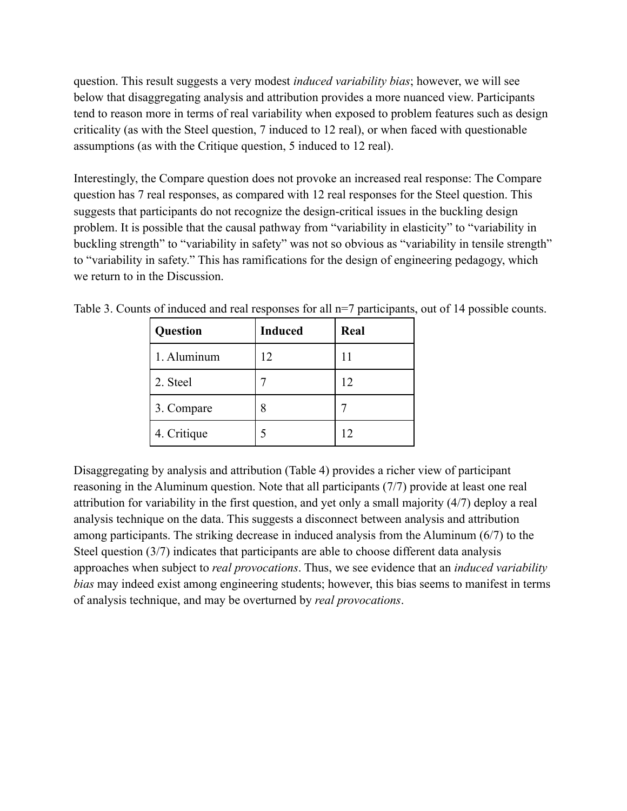question. This result suggests a very modest *induced variability bias*; however, we will see below that disaggregating analysis and attribution provides a more nuanced view. Participants tend to reason more in terms of real variability when exposed to problem features such as design criticality (as with the Steel question, 7 induced to 12 real), or when faced with questionable assumptions (as with the Critique question, 5 induced to 12 real).

Interestingly, the Compare question does not provoke an increased real response: The Compare question has 7 real responses, as compared with 12 real responses for the Steel question. This suggests that participants do not recognize the design-critical issues in the buckling design problem. It is possible that the causal pathway from "variability in elasticity" to "variability in buckling strength" to "variability in safety" was not so obvious as "variability in tensile strength" to "variability in safety." This has ramifications for the design of engineering pedagogy, which we return to in the Discussion.

| Question    | <b>Induced</b> | Real |
|-------------|----------------|------|
| 1. Aluminum | 12             |      |
| 2. Steel    |                | 12   |
| 3. Compare  |                |      |
| 4. Critique |                | 12   |

Table 3. Counts of induced and real responses for all n=7 participants, out of 14 possible counts.

Disaggregating by analysis and attribution (Table 4) provides a richer view of participant reasoning in the Aluminum question. Note that all participants (7/7) provide at least one real attribution for variability in the first question, and yet only a small majority (4/7) deploy a real analysis technique on the data. This suggests a disconnect between analysis and attribution among participants. The striking decrease in induced analysis from the Aluminum (6/7) to the Steel question (3/7) indicates that participants are able to choose different data analysis approaches when subject to *real provocations*. Thus, we see evidence that an *induced variability bias* may indeed exist among engineering students; however, this bias seems to manifest in terms of analysis technique, and may be overturned by *real provocations*.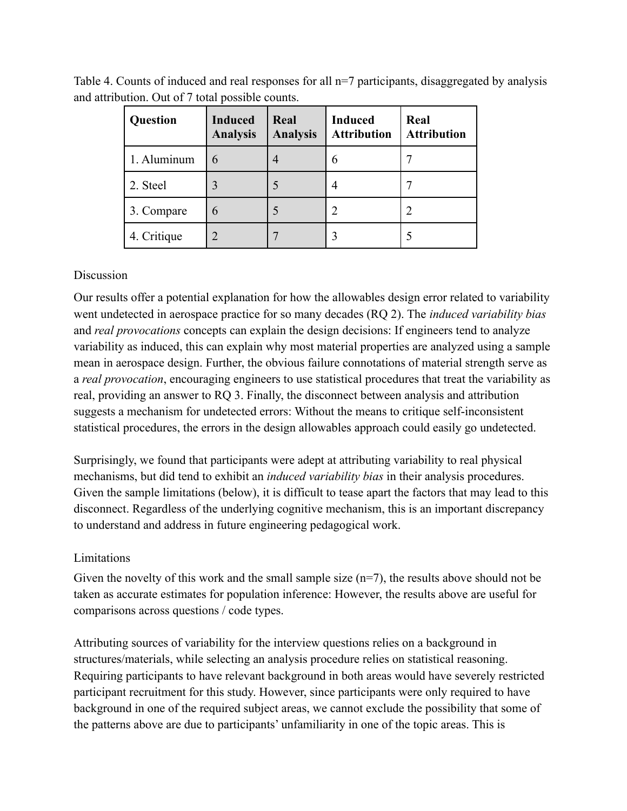| <b>Question</b> | <b>Induced</b><br><b>Analysis</b> | Real<br><b>Analysis</b> | <b>Induced</b><br><b>Attribution</b> | Real<br><b>Attribution</b> |
|-----------------|-----------------------------------|-------------------------|--------------------------------------|----------------------------|
| 1. Aluminum     | 6                                 |                         | 6                                    |                            |
| 2. Steel        |                                   |                         | 4                                    |                            |
| 3. Compare      | 6                                 |                         | 2                                    |                            |
| 4. Critique     | 2                                 |                         |                                      |                            |

Table 4. Counts of induced and real responses for all n=7 participants, disaggregated by analysis and attribution. Out of 7 total possible counts.

#### Discussion

Our results offer a potential explanation for how the allowables design error related to variability went undetected in aerospace practice for so many decades (RQ 2). The *induced variability bias* and *real provocations* concepts can explain the design decisions: If engineers tend to analyze variability as induced, this can explain why most material properties are analyzed using a sample mean in aerospace design. Further, the obvious failure connotations of material strength serve as a *real provocation*, encouraging engineers to use statistical procedures that treat the variability as real, providing an answer to RQ 3. Finally, the disconnect between analysis and attribution suggests a mechanism for undetected errors: Without the means to critique self-inconsistent statistical procedures, the errors in the design allowables approach could easily go undetected.

Surprisingly, we found that participants were adept at attributing variability to real physical mechanisms, but did tend to exhibit an *induced variability bias* in their analysis procedures. Given the sample limitations (below), it is difficult to tease apart the factors that may lead to this disconnect. Regardless of the underlying cognitive mechanism, this is an important discrepancy to understand and address in future engineering pedagogical work.

#### Limitations

Given the novelty of this work and the small sample size  $(n=7)$ , the results above should not be taken as accurate estimates for population inference: However, the results above are useful for comparisons across questions / code types.

Attributing sources of variability for the interview questions relies on a background in structures/materials, while selecting an analysis procedure relies on statistical reasoning. Requiring participants to have relevant background in both areas would have severely restricted participant recruitment for this study. However, since participants were only required to have background in one of the required subject areas, we cannot exclude the possibility that some of the patterns above are due to participants' unfamiliarity in one of the topic areas. This is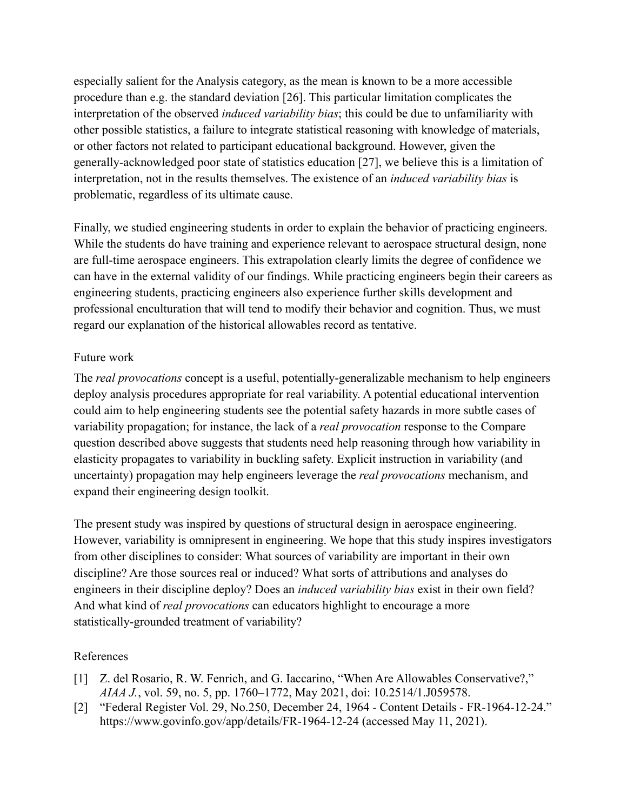especially salient for the Analysis category, as the mean is known to be a more accessible procedure than e.g. the standard deviation [\[26\].](https://www.zotero.org/google-docs/?x73OjN) This particular limitation complicates the interpretation of the observed *induced variability bias*; this could be due to unfamiliarity with other possible statistics, a failure to integrate statistical reasoning with knowledge of materials, or other factors not related to participant educational background. However, given the generally-acknowledged poor state of statistics education [\[27\],](https://www.zotero.org/google-docs/?4VNY1T) we believe this is a limitation of interpretation, not in the results themselves. The existence of an *induced variability bias* is problematic, regardless of its ultimate cause.

Finally, we studied engineering students in order to explain the behavior of practicing engineers. While the students do have training and experience relevant to aerospace structural design, none are full-time aerospace engineers. This extrapolation clearly limits the degree of confidence we can have in the external validity of our findings. While practicing engineers begin their careers as engineering students, practicing engineers also experience further skills development and professional enculturation that will tend to modify their behavior and cognition. Thus, we must regard our explanation of the historical allowables record as tentative.

### Future work

The *real provocations* concept is a useful, potentially-generalizable mechanism to help engineers deploy analysis procedures appropriate for real variability. A potential educational intervention could aim to help engineering students see the potential safety hazards in more subtle cases of variability propagation; for instance, the lack of a *real provocation* response to the Compare question described above suggests that students need help reasoning through how variability in elasticity propagates to variability in buckling safety. Explicit instruction in variability (and uncertainty) propagation may help engineers leverage the *real provocations* mechanism, and expand their engineering design toolkit.

The present study was inspired by questions of structural design in aerospace engineering. However, variability is omnipresent in engineering. We hope that this study inspires investigators from other disciplines to consider: What sources of variability are important in their own discipline? Are those sources real or induced? What sorts of attributions and analyses do engineers in their discipline deploy? Does an *induced variability bias* exist in their own field? And what kind of *real provocations* can educators highlight to encourage a more statistically-grounded treatment of variability?

#### References

- [1] [Z. del Rosario, R. W. Fenrich, and G. Iaccarino, "When Are Allowables Conservative?,"](https://www.zotero.org/google-docs/?sJwSfm) *AIAA J.*[, vol. 59, no. 5, pp. 1760–1772, May 2021,](https://www.zotero.org/google-docs/?sJwSfm) doi: 10.2514/1.J059578.
- [2] ["Federal Register Vol. 29, No.250, December 24, 1964 Content Details FR-1964-12-24."](https://www.zotero.org/google-docs/?sJwSfm) [https://www.govinfo.gov/app/details/FR-1964-12-24 \(accessed May 11, 2021\).](https://www.zotero.org/google-docs/?sJwSfm)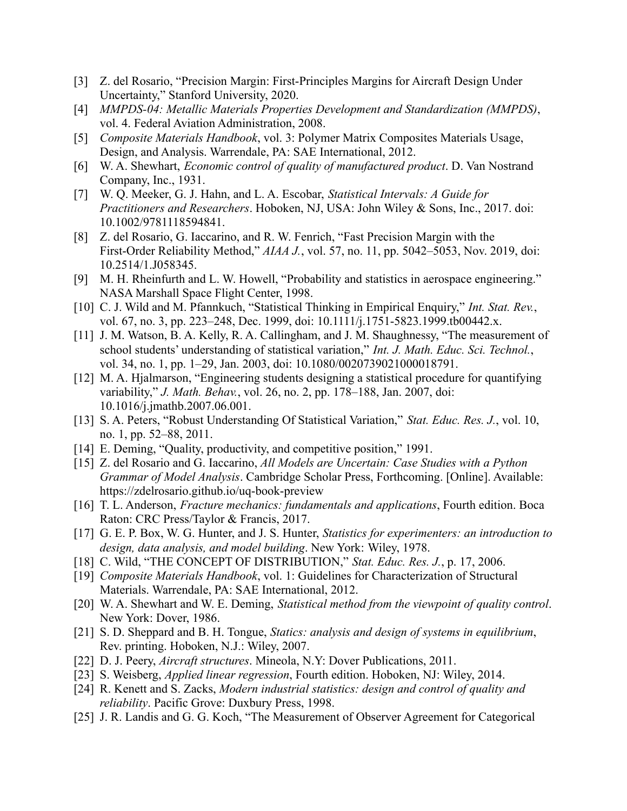- [3] [Z. del Rosario, "Precision Margin: First-Principles Margins for Aircraft Design Under](https://www.zotero.org/google-docs/?sJwSfm) [Uncertainty," Stanford University, 2020.](https://www.zotero.org/google-docs/?sJwSfm)
- [4] *[MMPDS-04: Metallic Materials Properties Development](https://www.zotero.org/google-docs/?sJwSfm) and Standardization (MMPDS)*, [vol. 4. Federal Aviation Administration, 2008.](https://www.zotero.org/google-docs/?sJwSfm)
- [5] *Composite Materials Handbook*, vol. 3: Polymer [Matrix Composites Materials Usage,](https://www.zotero.org/google-docs/?sJwSfm) [Design, and Analysis. Warrendale, PA: SAE International, 2012.](https://www.zotero.org/google-docs/?sJwSfm)
- [6] W. A. Shewhart, *[Economic control of quality of](https://www.zotero.org/google-docs/?sJwSfm) manufactured product*. D. Van Nostrand [Company, Inc., 1931.](https://www.zotero.org/google-docs/?sJwSfm)
- [7] [W. Q. Meeker, G. J. Hahn, and L. A. Escobar,](https://www.zotero.org/google-docs/?sJwSfm) *Statistical Intervals: A Guide for Practitioners and Researchers*. Hoboken, NJ, USA: John [Wiley & Sons, Inc., 2017. doi:](https://www.zotero.org/google-docs/?sJwSfm) [10.1002/9781118594841.](https://www.zotero.org/google-docs/?sJwSfm)
- [8] [Z. del Rosario, G. Iaccarino, and R. W. Fenrich, "Fast Precision Margin with the](https://www.zotero.org/google-docs/?sJwSfm) First-Order Reliability Method," *AIAA J.*, vol. 57, [no. 11, pp. 5042–5053, Nov. 2019, doi:](https://www.zotero.org/google-docs/?sJwSfm) [10.2514/1.J058345.](https://www.zotero.org/google-docs/?sJwSfm)
- [9] [M. H. Rheinfurth and L. W. Howell, "Probability and statistics in aerospace engineering."](https://www.zotero.org/google-docs/?sJwSfm) [NASA Marshall Space Flight Center, 1998.](https://www.zotero.org/google-docs/?sJwSfm)
- [10] [C. J. Wild and M. Pfannkuch, "Statistical Thinking in Empirical Enquiry,"](https://www.zotero.org/google-docs/?sJwSfm) *Int. Stat. Rev.*, [vol. 67, no. 3, pp. 223–248, Dec. 1999, doi: 10.1111/j.1751-5823.1999.tb00442.x.](https://www.zotero.org/google-docs/?sJwSfm)
- [11] [J. M. Watson, B. A. Kelly, R. A. Callingham, and J. M. Shaughnessy, "The measurement of](https://www.zotero.org/google-docs/?sJwSfm) [school students' understanding of statistical variation,"](https://www.zotero.org/google-docs/?sJwSfm) *Int. J. Math. Educ. Sci. Technol.*, [vol. 34, no. 1, pp. 1–29, Jan. 2003, doi: 10.1080/0020739021000018791.](https://www.zotero.org/google-docs/?sJwSfm)
- [12] [M. A. Hjalmarson, "Engineering students designing a statistical procedure for quantifying](https://www.zotero.org/google-docs/?sJwSfm) variability," *J. Math. Behav.*, vol. 26, no. 2, pp. [178–188, Jan. 2007, doi:](https://www.zotero.org/google-docs/?sJwSfm) [10.1016/j.jmathb.2007.06.001.](https://www.zotero.org/google-docs/?sJwSfm)
- [13] [S. A. Peters, "Robust Understanding Of Statistical Variation,"](https://www.zotero.org/google-docs/?sJwSfm) *Stat. Educ. Res. J.*, vol. 10, [no. 1, pp. 52–88, 2011.](https://www.zotero.org/google-docs/?sJwSfm)
- [14] [E. Deming, "Quality, productivity, and competitive position," 1991.](https://www.zotero.org/google-docs/?sJwSfm)
- [15] Z. del Rosario and G. Iaccarino, *All Models are [Uncertain: Case Studies with a Python](https://www.zotero.org/google-docs/?sJwSfm) Grammar of Model Analysis*. Cambridge Scholar Press, [Forthcoming. \[Online\]. Available:](https://www.zotero.org/google-docs/?sJwSfm) [https://zdelrosario.github.io/uq-book-preview](https://www.zotero.org/google-docs/?sJwSfm)
- [16] T. L. Anderson, *[Fracture mechanics: fundamentals](https://www.zotero.org/google-docs/?sJwSfm) and applications*, Fourth edition. Boca [Raton: CRC Press/Taylor & Francis, 2017.](https://www.zotero.org/google-docs/?sJwSfm)
- [17] G. E. P. Box, W. G. Hunter, and J. S. Hunter, *[Statistics for experimenters: an introduction to](https://www.zotero.org/google-docs/?sJwSfm) [design, data analysis, and model building](https://www.zotero.org/google-docs/?sJwSfm)*. New York: Wiley, 1978.
- [18] [C. Wild, "THE CONCEPT OF DISTRIBUTION,"](https://www.zotero.org/google-docs/?sJwSfm) *Stat. Educ. Res. J.*, p. 17, 2006.
- [19] *Composite Materials Handbook*, vol. 1: Guidelines [for Characterization of Structural](https://www.zotero.org/google-docs/?sJwSfm) [Materials. Warrendale, PA: SAE International, 2012.](https://www.zotero.org/google-docs/?sJwSfm)
- [20] W. A. Shewhart and W. E. Deming, *Statistical [method from the viewpoint of quality control](https://www.zotero.org/google-docs/?sJwSfm)*. [New York: Dover, 1986.](https://www.zotero.org/google-docs/?sJwSfm)
- [21] S. D. Sheppard and B. H. Tongue, *Statics: analysis [and design of systems in equilibrium](https://www.zotero.org/google-docs/?sJwSfm)*, [Rev. printing. Hoboken, N.J.: Wiley, 2007.](https://www.zotero.org/google-docs/?sJwSfm)
- [22] D. J. Peery, *Aircraft structures*. Mineola, N.Y: [Dover Publications, 2011.](https://www.zotero.org/google-docs/?sJwSfm)
- [23] S. Weisberg, *Applied linear regression*, Fourth [edition. Hoboken, NJ: Wiley, 2014.](https://www.zotero.org/google-docs/?sJwSfm)
- [24] R. Kenett and S. Zacks, *Modern industrial statistics: [design and control of quality and](https://www.zotero.org/google-docs/?sJwSfm) reliability*[. Pacific Grove: Duxbury Press, 1998.](https://www.zotero.org/google-docs/?sJwSfm)
- [25] [J. R. Landis and G. G. Koch, "The Measurement of Observer Agreement for Categorical](https://www.zotero.org/google-docs/?sJwSfm)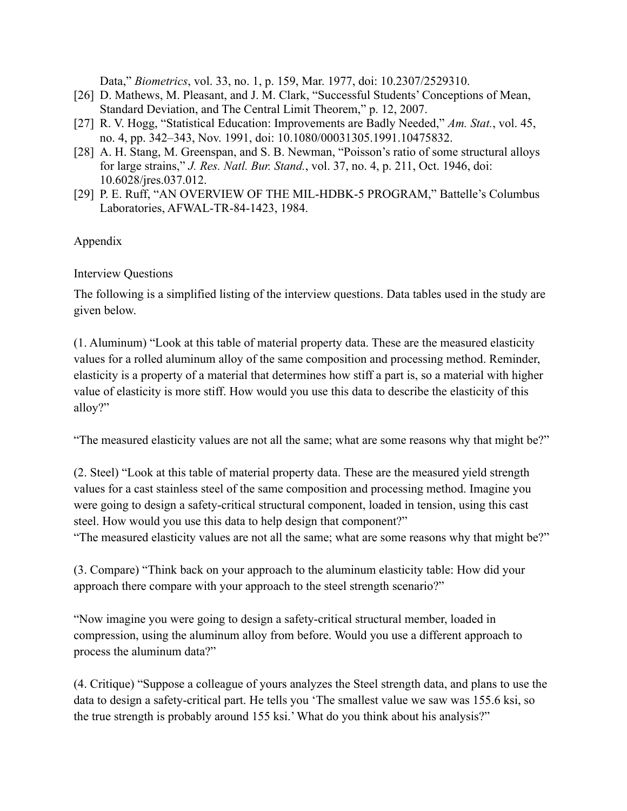Data," *Biometrics*[, vol. 33, no. 1, p. 159, Mar. 1977, doi: 10.2307/2529310.](https://www.zotero.org/google-docs/?sJwSfm)

- [26] [D. Mathews, M. Pleasant, and J. M. Clark, "Successful Students' Conceptions of Mean,](https://www.zotero.org/google-docs/?sJwSfm) [Standard Deviation, and The Central Limit Theorem," p. 12, 2007.](https://www.zotero.org/google-docs/?sJwSfm)
- [27] [R. V. Hogg, "Statistical Education: Improvements are Badly Needed,"](https://www.zotero.org/google-docs/?sJwSfm) *Am. Stat.*, vol. 45, [no. 4, pp. 342–343, Nov. 1991, doi: 10.1080/00031305.1991.10475832.](https://www.zotero.org/google-docs/?sJwSfm)
- [28] [A. H. Stang, M. Greenspan, and S. B. Newman, "Poisson's ratio of some structural alloys](https://www.zotero.org/google-docs/?sJwSfm) for large strains," *J. Res. Natl. Bur. Stand.*, vol. [37, no. 4, p. 211, Oct. 1946, doi:](https://www.zotero.org/google-docs/?sJwSfm) [10.6028/jres.037.012.](https://www.zotero.org/google-docs/?sJwSfm)
- [29] [P. E. Ruff, "AN OVERVIEW OF THE MIL-HDBK-5 PROGRAM," Battelle's Columbus](https://www.zotero.org/google-docs/?sJwSfm) [Laboratories, AFWAL-TR-84-1423, 1984.](https://www.zotero.org/google-docs/?sJwSfm)

## Appendix

## Interview Questions

The following is a simplified listing of the interview questions. Data tables used in the study are given below.

(1. Aluminum) "Look at this table of material property data. These are the measured elasticity values for a rolled aluminum alloy of the same composition and processing method. Reminder, elasticity is a property of a material that determines how stiff a part is, so a material with higher value of elasticity is more stiff. How would you use this data to describe the elasticity of this alloy?"

"The measured elasticity values are not all the same; what are some reasons why that might be?"

(2. Steel) "Look at this table of material property data. These are the measured yield strength values for a cast stainless steel of the same composition and processing method. Imagine you were going to design a safety-critical structural component, loaded in tension, using this cast steel. How would you use this data to help design that component?"

"The measured elasticity values are not all the same; what are some reasons why that might be?"

(3. Compare) "Think back on your approach to the aluminum elasticity table: How did your approach there compare with your approach to the steel strength scenario?"

"Now imagine you were going to design a safety-critical structural member, loaded in compression, using the aluminum alloy from before. Would you use a different approach to process the aluminum data?"

(4. Critique) "Suppose a colleague of yours analyzes the Steel strength data, and plans to use the data to design a safety-critical part. He tells you 'The smallest value we saw was 155.6 ksi, so the true strength is probably around 155 ksi.' What do you think about his analysis?"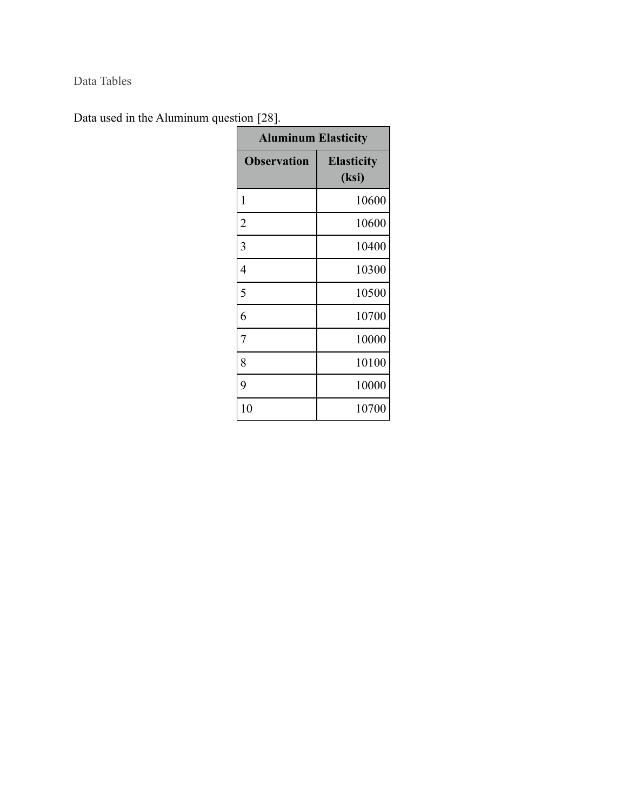Data Tables

Data used in the Aluminum question [\[28\]](https://www.zotero.org/google-docs/?hzsvK0).

| <b>Aluminum Elasticity</b> |                            |  |
|----------------------------|----------------------------|--|
| <b>Observation</b>         | <b>Elasticity</b><br>(ksi) |  |
| 1                          | 10600                      |  |
| $\overline{c}$             | 10600                      |  |
| 3                          | 10400                      |  |
| 4                          | 10300                      |  |
| 5                          | 10500                      |  |
| 6                          | 10700                      |  |
| 7                          | 10000                      |  |
| 8                          | 10100                      |  |
| 9                          | 10000                      |  |
| 10                         | 10700                      |  |